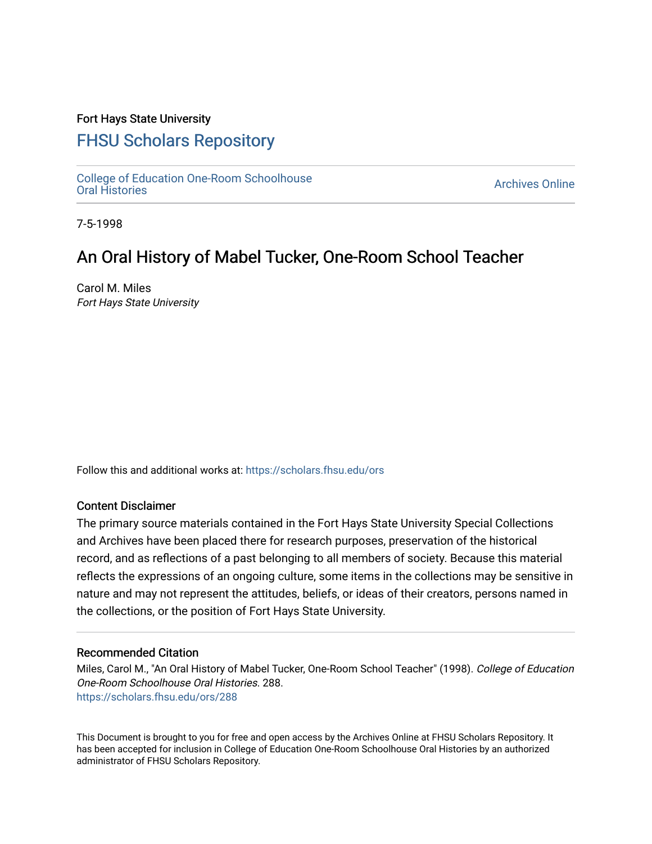## Fort Hays State University

## [FHSU Scholars Repository](https://scholars.fhsu.edu/)

[College of Education One-Room Schoolhouse](https://scholars.fhsu.edu/ors)<br>Oral Histories College of Education Orle-Room Schoolhouse<br>[Oral Histories](https://scholars.fhsu.edu/ors) Archives Online

7-5-1998

# An Oral History of Mabel Tucker, One-Room School Teacher

Carol M. Miles Fort Hays State University

Follow this and additional works at: [https://scholars.fhsu.edu/ors](https://scholars.fhsu.edu/ors?utm_source=scholars.fhsu.edu%2Fors%2F288&utm_medium=PDF&utm_campaign=PDFCoverPages) 

### Content Disclaimer

The primary source materials contained in the Fort Hays State University Special Collections and Archives have been placed there for research purposes, preservation of the historical record, and as reflections of a past belonging to all members of society. Because this material reflects the expressions of an ongoing culture, some items in the collections may be sensitive in nature and may not represent the attitudes, beliefs, or ideas of their creators, persons named in the collections, or the position of Fort Hays State University.

#### Recommended Citation

Miles, Carol M., "An Oral History of Mabel Tucker, One-Room School Teacher" (1998). College of Education One-Room Schoolhouse Oral Histories. 288. [https://scholars.fhsu.edu/ors/288](https://scholars.fhsu.edu/ors/288?utm_source=scholars.fhsu.edu%2Fors%2F288&utm_medium=PDF&utm_campaign=PDFCoverPages) 

This Document is brought to you for free and open access by the Archives Online at FHSU Scholars Repository. It has been accepted for inclusion in College of Education One-Room Schoolhouse Oral Histories by an authorized administrator of FHSU Scholars Repository.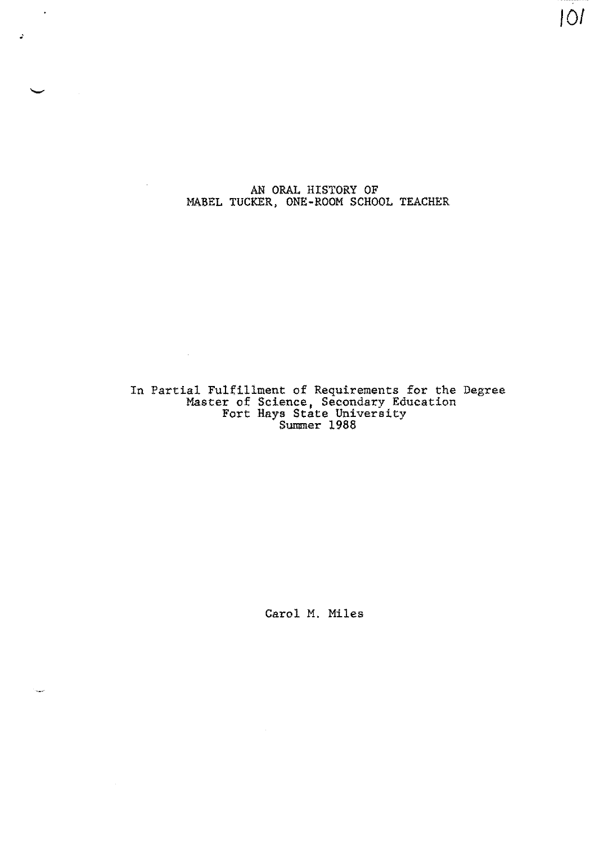AN ORAL HISTORY OF MABEL TUCKER, ONE-ROOM SCHOOL TEACHER

 $\overline{\phantom{a}}$ 

 $\mathcal{A}_\mathrm{c}$ 

 $\hat{\mathbf{z}}$ 

IOI

In Partial Fulfillment of Requirements for the Degree Master of Science, Secondary Education Fort Hays State University Summer 1988

 $\sim 10^{-11}$ 

 $\bar{\beta}$ 

Carol M. Miles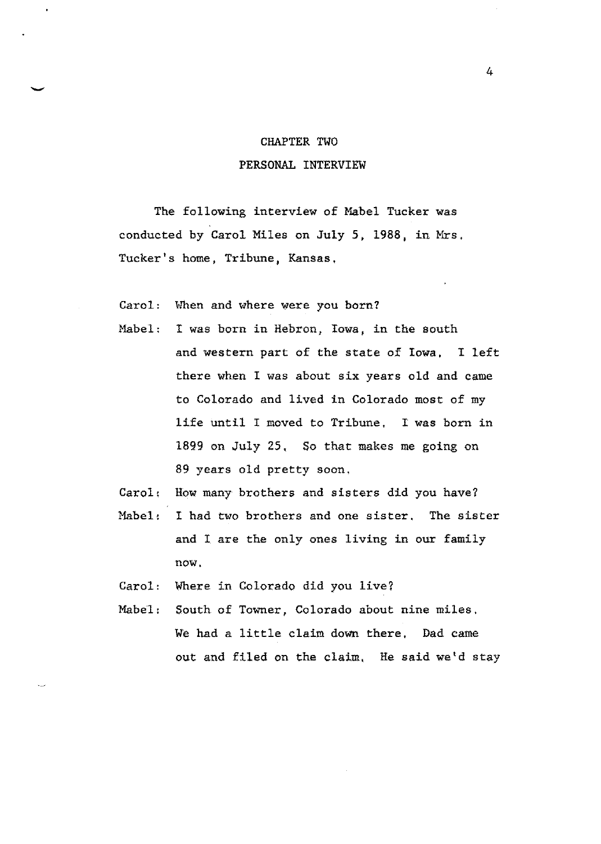#### CHAPTER TWO

### PERSONAL INTERVIEW

The following interview of Mabel Tucker was conducted by Carol Miles on July 5, 1988, in Mrs. Tucker's home, Tribune, Kansas,

Carol: When and where were you born?

- Mabel: I was born in Hebron, Iowa, in the south and western part of the state of Iowa, I left there when I was about six years old and came to Colorado and lived in Colorado most of my life until I moved to Tribune. I was born in 1899 on July 25, So that makes me going on 89 years old pretty soon.
- Carol; How many brothers and sisters did you have?
- Mabel: I had two brothers and one sister, The sister and I are the only ones living in our family now.
- Carol: Where in Colorado did you live?
- Mabel: South of Towner, Colorado about nine miles. We had a little claim down there, Dad came out and filed on the claim, He said we'd stay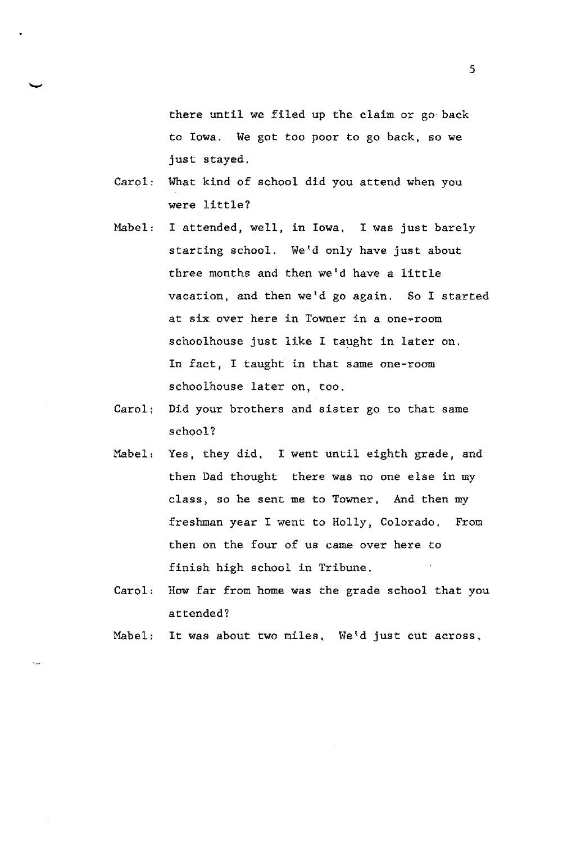there until we filed up the claim or go back to Iowa. We got too poor to go back, so we just stayed.

Carol: What kind of school did you attend when you were little?

-

- Mabel: I attended, well, in Iowa, I was just barely starting school. We'd only have just about three months and then we'd have a little vacation, and then we'd go again. So I started at six over here in Towner in a one-room schoolhouse just like I taught in later on. In fact, I taught in that same one-room schoolhouse later on, too.
- Carol: Did your brothers and sister go to that same school?
- Mabel, Yes, they did, I went until eighth grade, and then Dad thought there was no one else in my class, so he sent me to Towner, And then my freshman year I went to Holly, Colorado, From then on the four of us came over here to finish high school in Tribune,
- Carol: How far from home was the grade school that you attended?
- Mabel; It was about two miles, We'd just cut across,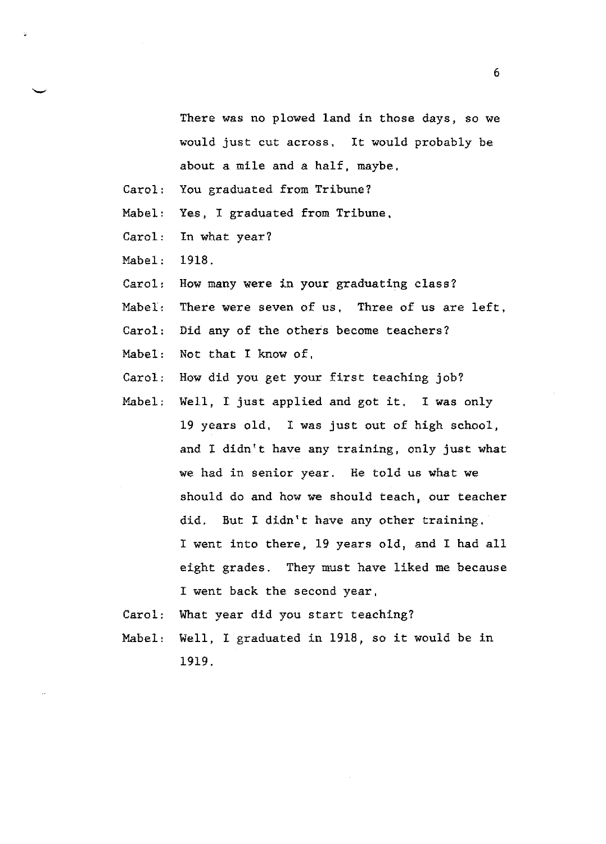There was no plowed land in those days, so we would just cut across. It would probably be about a mile and a half, maybe.

- Carol: You graduated from Tribune?
- Mabel: Yes, I graduated from Tribune,
- Carol: In what year?
- Mabel: 1918.
- Carol: How many were in your graduating class?
- Mabel: There were seven of us. Three of us are left,
- Carol: Did any of the others become teachers?
- Mabel: Not that I know of,
- Carol; How did you get your first teaching job?
- Mabel: Well, I just applied and got it. I **was** only 19 years old, I was just out of high school, and I didn't have any training, only just what we had in senior year. He told us what we should do and how we should teach, our teacher did. But I didn't have any other training, I went into there, 19 years old, and I had all eight grades. They must have liked me because I went back the second year,
- Carol: What year did you start teaching?
- Mabel: Well, I graduated in 1918, so it would be in 1919.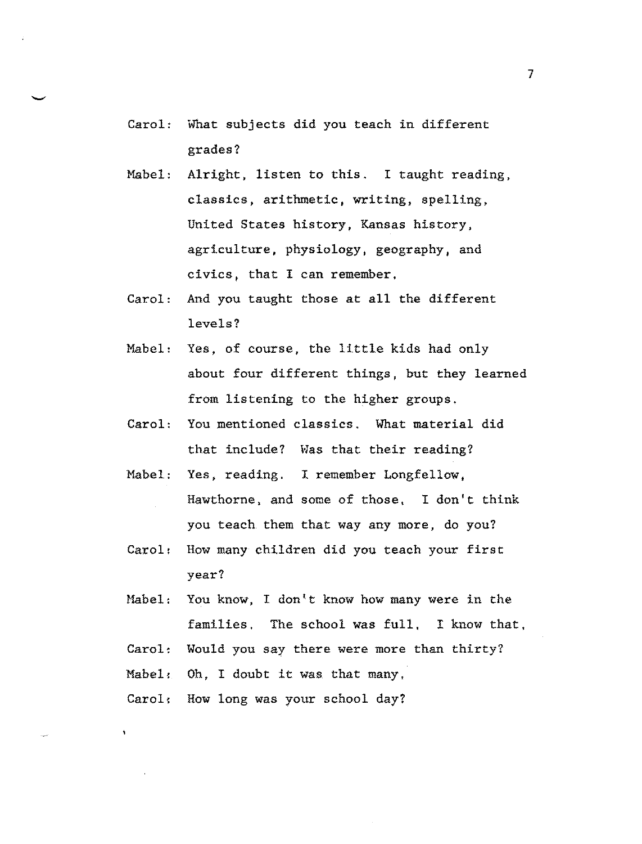- Carol: What subjects did you teach in different grades?
- Mabel: Alright, listen to this. I taught reading, classics, arithmetic, writing, spelling, United States history, Kansas history, agriculture, physiology, geography, and civics, that I can remember,
- Carol: And you taught those at all the different levels?
- Mabel: Yes, of course, the little kids had only about four different things, but they learned from listening to the higher groups.
- Carol: You mentioned classics. What material did that include? Was that their reading?
- Mabel: Yes, reading. I remember Longfellow, Hawthorne, and some of those, I don't think you teach them that way any more, do you?
- Carol: How many children did you teach your first year?
- Mabel: You know, I don't know how many were in the families, The school was full, I know that,
- Carol: Would you say there were more than thirty?

Mabel: Oh, I doubt it was. that many,

Carol: How long was your school day?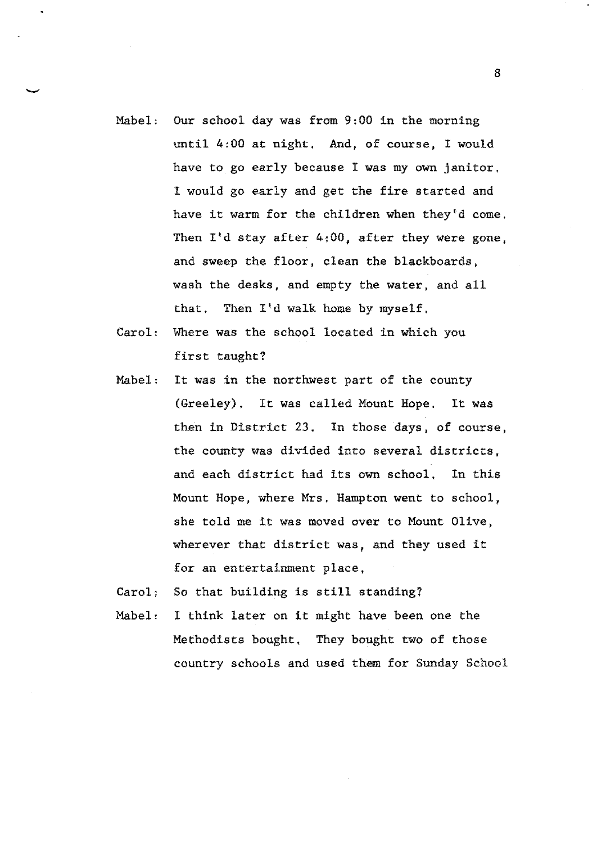- Mabel: Our school day was from 9:00 in the morning until 4:00 at night. And, of course, I would have to go early because I was my own janitor, I would go early and get the fire started and have it warm for the children when they'd come. Then  $I'$ d stay after  $4:00$ , after they were gone, and sweep the floor, clean the blackboards, wash the desks, and empty the water, and all that. Then  $I'$ d walk home by myself.
- Carol: Where was the school located in which you first taught?
- Mabel: It was in the northwest part of the county (Greeley). It was called Mount Hope. It was then in District 23, In those days, of course, the county was divided into several districts, and each district had its own school, In this Mount Hope, where Mrs. Hampton went to school, she told me it was moved over to Mount Olive, wherever that district was, and they used it for an entertainment place,

Carol; So that building is still standing?

Mabel: I think later on it might have been one the Methodists bought. They bought two of those country schools and used them for Sunday School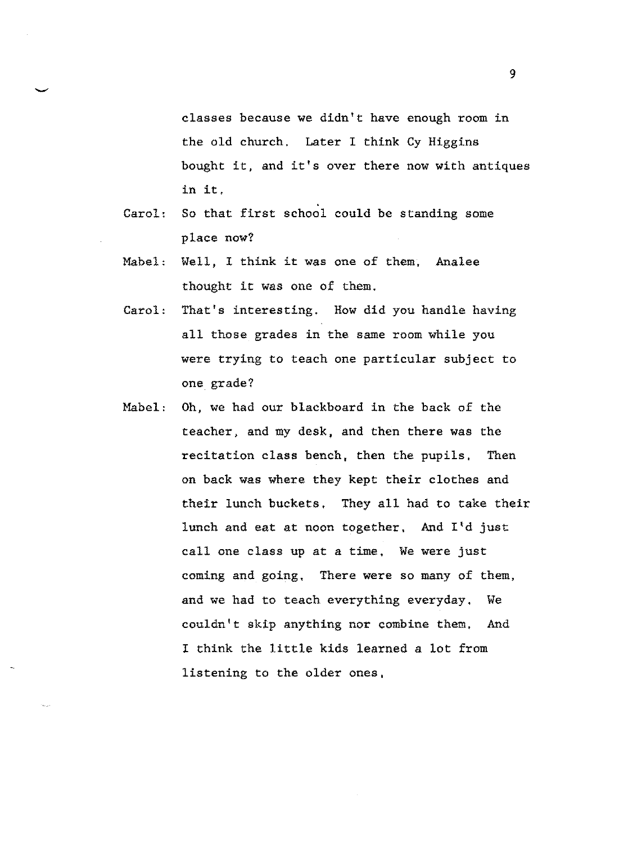classes because we didn't have enough room in the old church. Later I think Cy Higgins bought it, and it's over there now with antiques in it,

- Carol: So that first school could be standing some place now?
- Mabel: Well, I think it was one of them. Analee thought it was one of them.
- Carol: That's interesting. How did you handle having all those grades in the same room while you were trying to teach one particular subject to one grade?
- Mabel: Oh, we had our blackboard in the back of the teacher, and my desk, and then there was the recitation class bench, then the pupils, Then on back was where they kept their clothes and their lunch buckets, They all had to take their lunch and eat at noon together. And I'd just call one class up at a time, We were just coming and going, There were so many of them, and we had to teach everything everyday, We couldn't skip anything nor combine them, And I think the little kids learned a lot from listening to the older ones,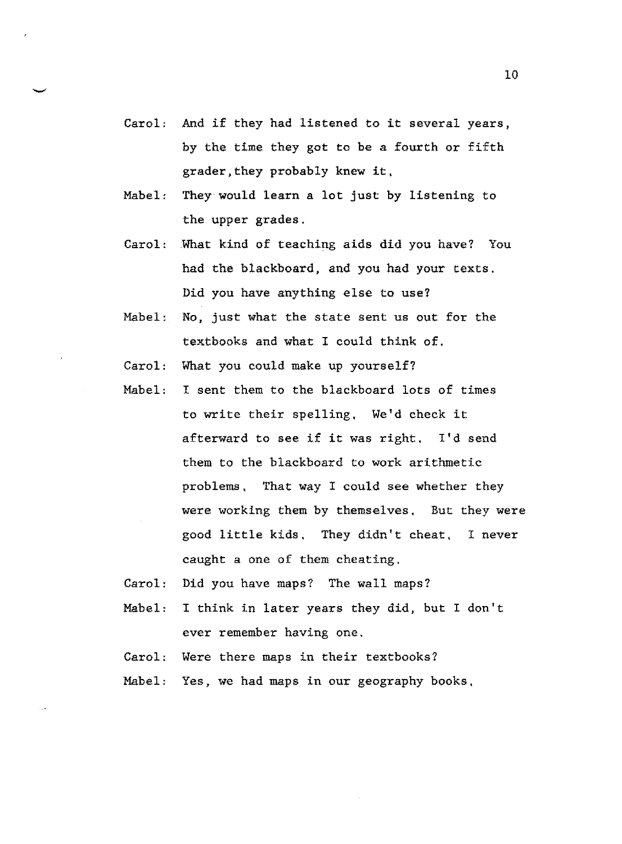- Carol, And if they had listened to it several years, by the time they got to be a fourth or fifth grader,they probably knew it,
- Mabel, They would learn a lot just by listening to the upper grades.
- Carol: .What kind of teaching aids did you have? You had the blackboard, and you had your texts. Did you have anything else to use?
- Mabel: No, just what the state sent us out for the textbooks and what I could think of.
- Carol: What you could make up yourself?
- Mabel: I sent them to the blackboard lots of times to write their spelling, We'd check it afterward to see if it was right. I'd send them to the blackboard to work arithmetic problems, That way I could see whether they were working them by themselves, But they were good little kids, They didn't cheat, I never caught a one of them cheating.
- Carol: Did you have maps? The wall maps?
- Mabel: I think in later years they did, but I don't ever remember having one.
- Carol: Were there maps in their textbooks?
- Mabel: Yes, we had maps in our geography books,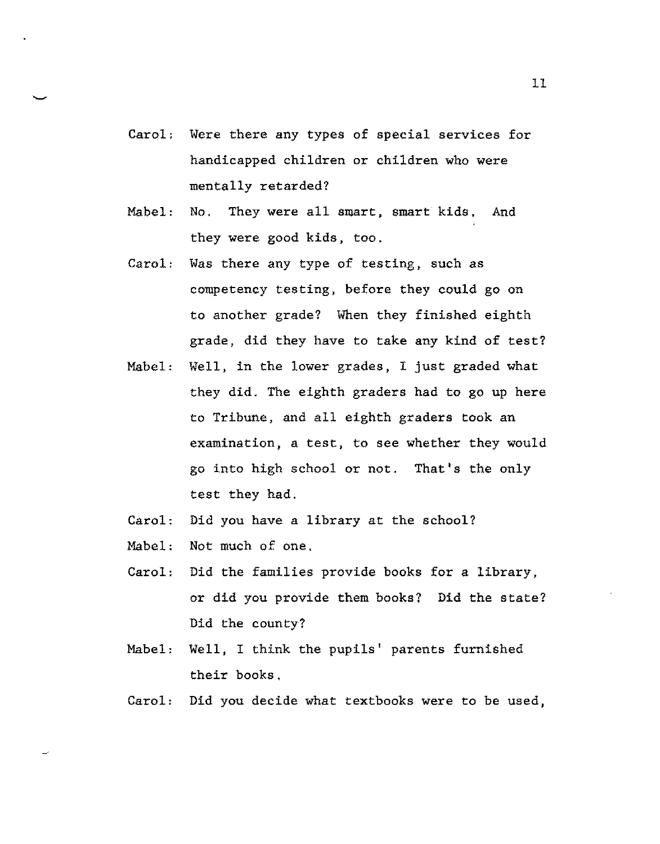- Carol, Were there any types of special services for handicapped children or children who were mentally retarded?
- Mabel: No. They were all smart, smart kids, And they were good kids, too,
- Carol: Was there any type of testing, such as competency testing, before they could go on to another grade? When they finished eighth grade, did they have to take any kind of test?
- Mabel: Well, in the lower grades, I just graded what they did. The eighth graders had to go up here to Tribune, and all eighth graders took an examination, a test, to see whether they would go into high school or not. That's the only test they had.
- Carol: Did you have a library at the school?
- Mabel: Not much of one,
- Carol: Did the families provide books for a library, or did you provide them books? Did the state? Did the county?
- Mabel: Well, I think the pupils' parents furnished their books.
- Carol: Did you decide what textbooks were to be used,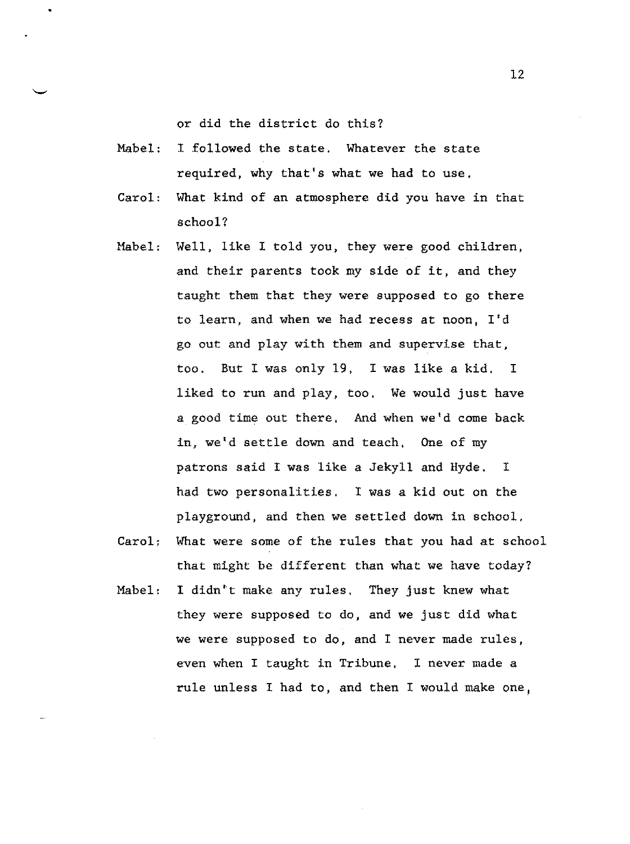or did the district do this?

- Mabel: I followed the state. Whatever the state required, why that's what we had to use,
- Carol: What kind of an atmosphere did you have in that school?
- Mabel: Well, like I told you, they were good children, and their parents took my side of it, and they taught them that they were supposed to go there to learn, and when we had recess at noon, I'd go out and play with them and supervise that, too. But I was only 19, I was like a kid. I liked to run and play, too, We would just have a good time out there. And when we'd come back in, we'd settle down and teach, One of my patrons said I was like a Jekyll and Hyde. I had two personalities. I was a kid out on the playground, and then we settled down in school,
- Carol; What were some of the rules that you had at school that might be different than what we have today?
- Mabel: I didn't make any rules. They just knew what they were supposed to do, and we just did what we were supposed to do, and I never made rules, even when I taught in Tribune, I never made a rule unless I had to, and then I would make one,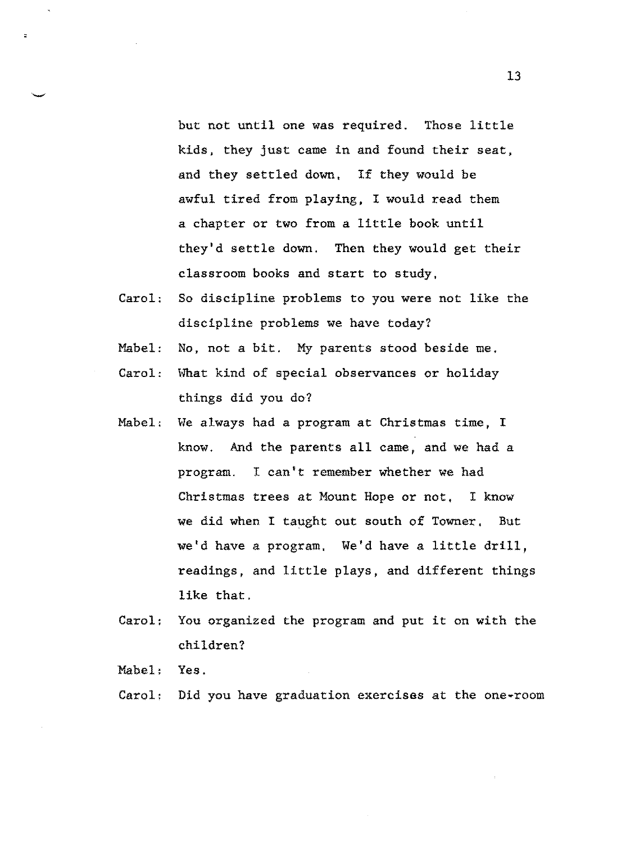but not until one was required. Those little kids, they just came in and found their seat, and they settled down, If they would be awful tired from playing, I would read them a chapter or two from a little book until they'd settle down. Then they would get their classroom books and start to study,

- Carol: So discipline problems to you were not like the discipline problems we have today?
- Mabel: No, not a bit. My parents stood beside me,
- Carol: What kind of special observances or holiday things did you do?
- Mabel: We always had a program at Christmas time, I know. And the parents all came, and we had a program. I can't remember whether we had Christmas trees at Mount Hope or not, I know we did when I taught out south of Towner, But we'd have a program, We'd have a little drill, readings, and little plays, and different things like that.
- Carol: You organized the program and put it on with the children?

Mabel: Yes.

Carol: Did you have graduation exercises at the one-room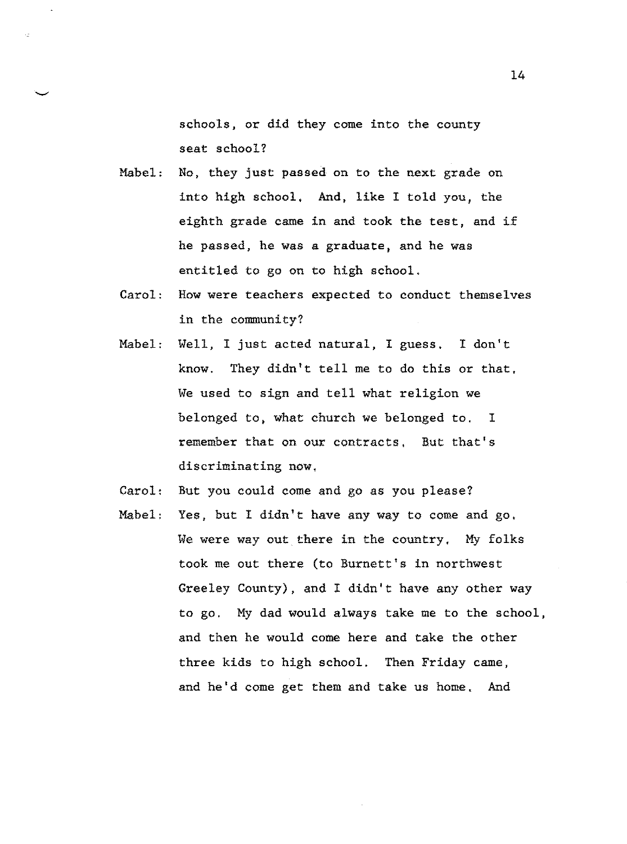schools, or did they come into the county seat school?

Mabel: No, they just passed on to the next grade on into high school, And, like I told you, the eighth grade came in and took the test, and if he passed, he was a graduate, and he was entitled to go on to high school.

- Carol: How were teachers expected to conduct themselves in the community?
- Mabel: Well, I just acted natural, I guess. I don't know. They didn't tell me to do this or that, We used to sign and tell what religion we belonged to, what church we belonged to, I remember that on our contracts, But that's discriminating now,
- Carol: But you could come and go as you please?
- Mabel: Yes, but I didn't have any way to come and go, We were way out there in the country, My folks took me out there (to Burnett's in northwest Greeley County), and I didn't have any other way to go. My dad would always take me to the school, and then he would come here and take the other three kids to high school. Then Friday came, and he'd come get them and take us home. And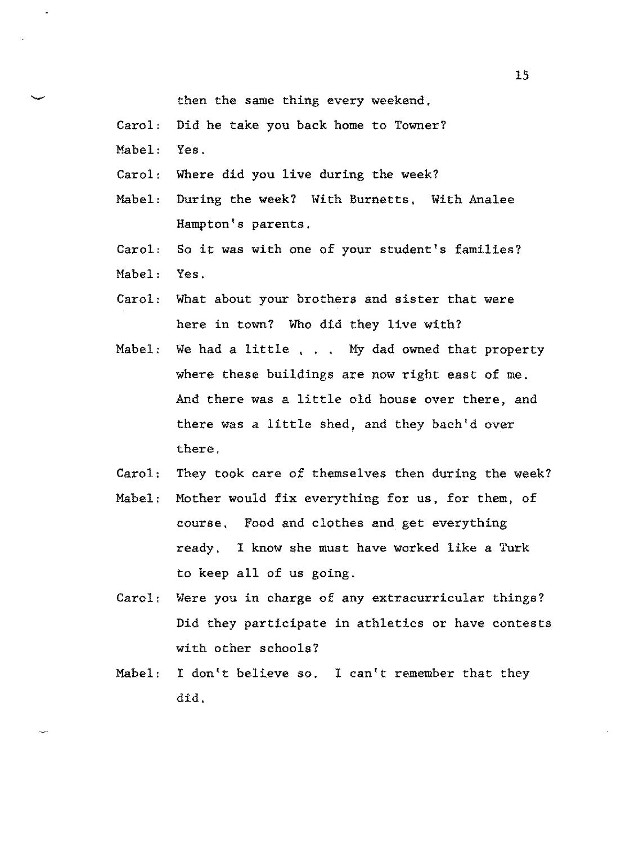then the same thing every weekend,

- Carol: Did he take you back home to Towner?
- Mabel: Yes.
- Carol: Where did you live during the week?
- Mabel: During the week? With Burnetts, With Analee Hampton's parents,
- Carol: So it was with one of your student's families?
- Mabel: Yes.
- Carol: What about your brothers and sister that were here in town? Who did they live with?
- Mabel: We had a little, , , My dad owned that property where these buildings are now right east of me. And there was a little old house over there, and there was a little shed, and they bach'd over there.
- Carol: They took care of themselves then during the week?
- Mabel: Mother would fix everything for us, for them, of course, Food and clothes and get everything ready. I know she must have worked like a Turk to keep all of us going.
- Carol: Were you in charge of any extracurricular things? Did they participate in athletics or have contests with other schools?
- Mabel: I don't believe so. I can't remember that they did,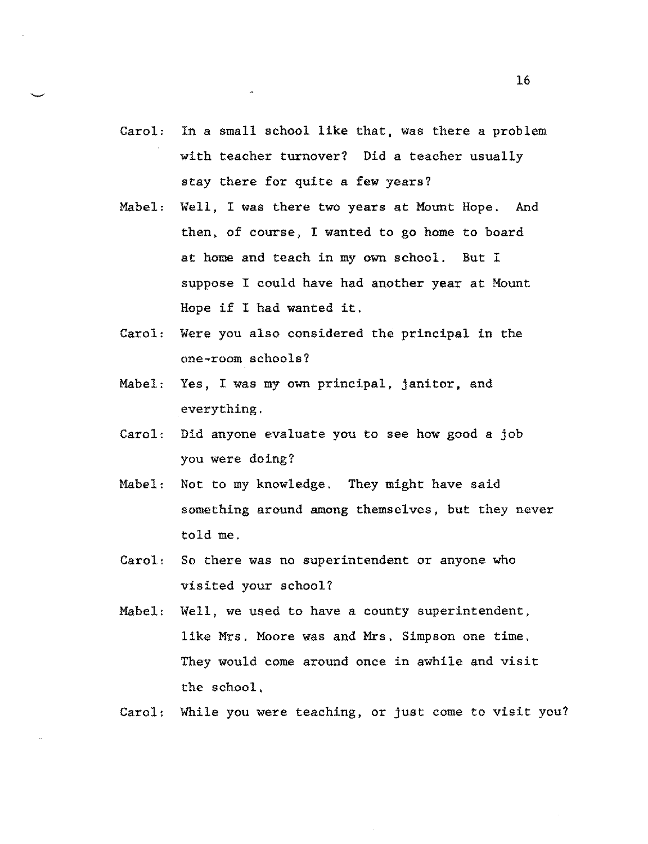- Carol: In a small school like that, was there a problem with teacher turnover? Did a teacher usually stay there for quite a few years?
- Mabel: Well, I was there two years at Mount Hope. And then, of course, I wanted to go home to board at home and teach in my own school. But I suppose I could have had another year at Mount Hope if I had wanted it.
- Carol: Were you also considered the principal in the one-room schools?
- Mabel: Yes, I was my own principal, janitor, and everything.
- Carol: Did anyone evaluate you to see how good a job you were doing?
- Mabel: Not to my knowledge. They might have said something around among themselves, but they never told me.
- Carol: So there was no superintendent or anyone who visited your school?
- Mabel: Well, we used to have a county superintendent, like Mrs. Moore was and Mrs. Simpson one time. They would come around once in awhile and visit the school,

Carol: While you were teaching, or just come to visit you?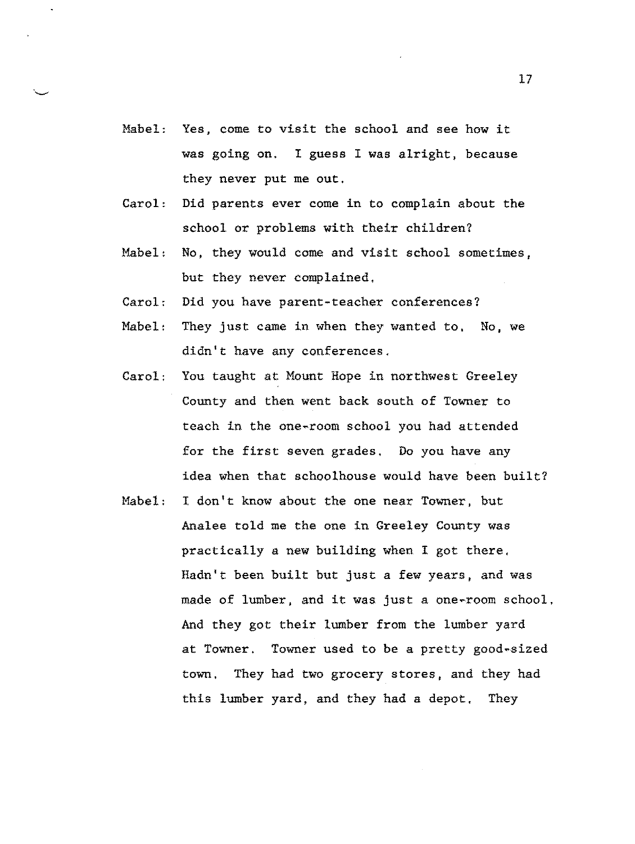- Mabel: Yes, come to visit the school and see how it was going on. I guess I was alright, because they never put me out.
- Carol: Did parents ever come in to complain about the school or problems with their children?
- Mabel: No, they would come and visit school sometimes, but they never complained,
- Carol: Did you have parent-teacher conferences?
- Mabel: They just came in when they wanted *to,* No, we didn't have any conferences.
- Carol: You taught at Mount Hope in northwest Greeley County and then went back south of Towner to teach in the one-room school you had attended for the first seven grades, Do you have any idea when that schoolhouse would have been built?
- Mabel: I don't know about the one near Towner, but Analee told me the one in Greeley County was practically a new building when I got there. Hadn't been built but just a few years, and was made of lumber, and it was just a one-room school, And they got their lumber from the lumber yard at Towner. Towner used to be a pretty good-sized town, They had two grocery stores, and they had this lumber yard, and they had a depot. They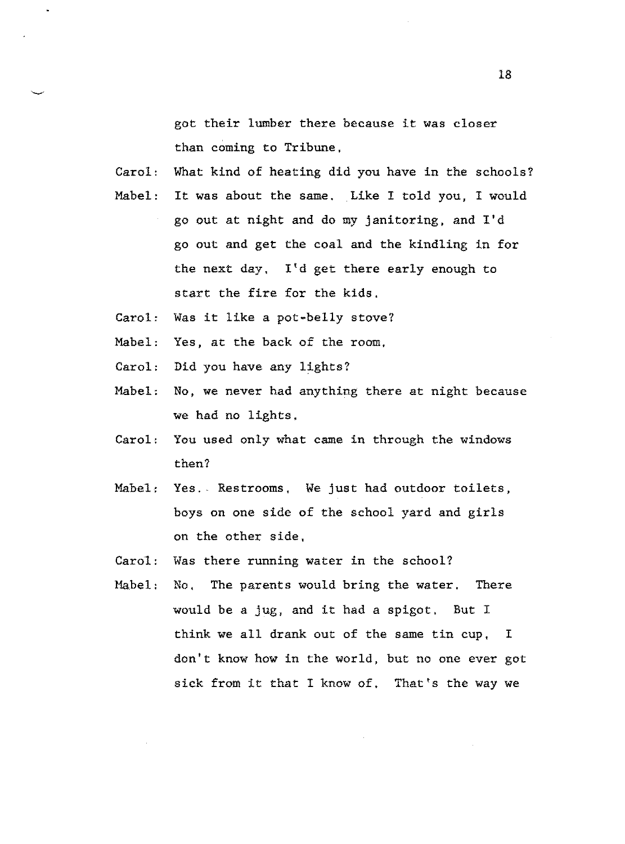got their lumber there because it was closer than coming to Tribune,

Carol: What kind of heating did you have in the schools?

- Mabel: It was about the same. Like I told you, I would go out at night and do my janitoring, and I'd go out and get the coal and the kindling in for the next day, I'd get there early enough to start the fire for the kids.
- Carol: Was it like a pot•belly stove?
- Mabel: Yes, at the back of the room,
- Carol: Did you have any lights?
- Mabel: No, we never had anything there at night because we had no lights,
- Carol: You used only what came in through the windows then?
- Mabel; Yes. Restrooms, We just had outdoor toilets, boys on one side of the school yard and girls on the other side,
- Carol: Was there running water in the school?
- Habel: No, The parents would bring the water, There would be a jug, and it had a spigot. But I think we all drank out of the same tin cup, I don't know how in the world, but no one ever got sick from it that I know of. That's the way we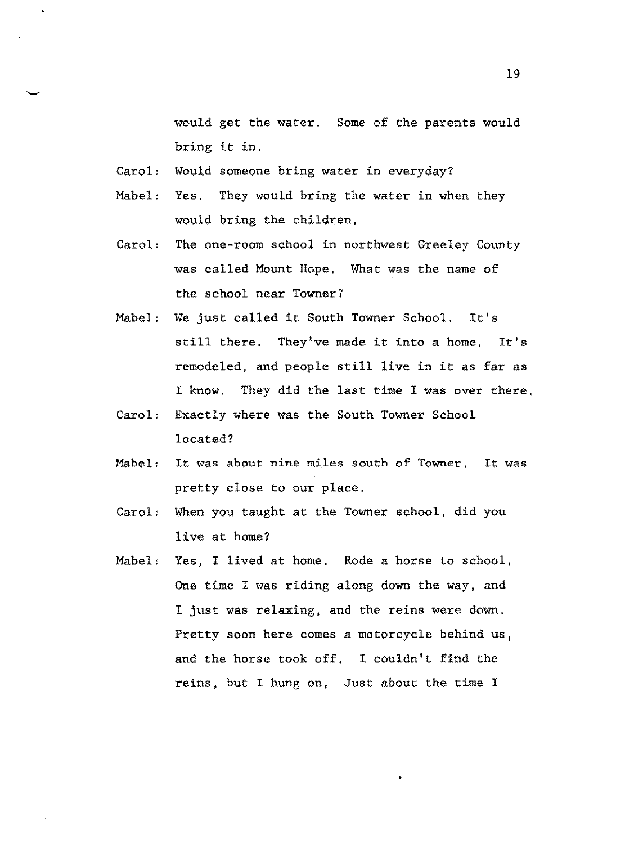would get the water. Some of the parents would bring it in.

- Carol: Would someone bring water in everyday?
- Mabel: Yes. They would bring the water in when they would bring the children.
- Carol: The one-room school in northwest Greeley County was called Mount Rope. What was the name of the school near Towner?
- Mabel: We just called it South Towner School. It's still there. They've made it into a home. It's remodeled, and people still live in it as far as I know. They did the last time I was over there,
- Carol: Exactly where was the South Towner School located?
- Mabel: It was about nine miles south of Towner, It was pretty close to our place.
- Carol: When you taught at the Towner school, did you live at home?
- Mabel: Yes, I lived at home. Rode a horse to school. One time I was riding along down the way, and I just was relaxing, and the reins were down, Pretty soon here comes a motorcycle behind us, and the horse took off, I couldn't find the reins, but I hung on, Just about the time I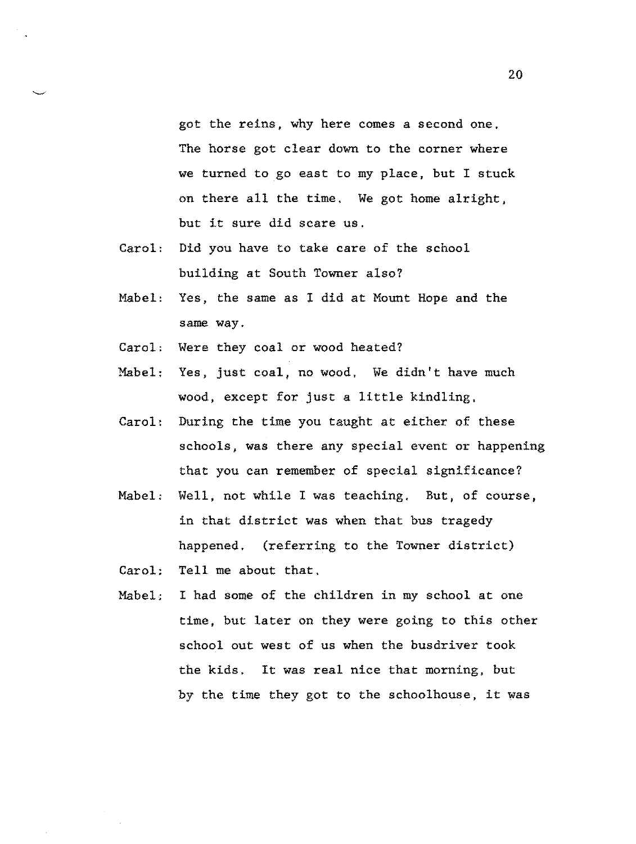got the reins, why here comes a second one. The horse got clear down to the corner where we turned to go east to my place, but I stuck on there all the time. We got home alright, but it sure did scare us.

- Carol: Did you have to take care of the school building at South Towner also?
- Mabel: Yes, the same as I did at Mount Hope and the same way.
- Carol: Were they coal or wood heated?
- Mabel: Yes, just coal, no wood, We didn't have much wood, except for just a little kindling,
- Carol: During the time you taught at either of these schools, was there any special event or happening that you can remember of special significance?
- Mabel, Well, not while I was teaching. But, of course, in that district was when that bus tragedy happened. (referring to the Towner district)
- Carol; Tell me about that,
- Mabel; I had some of the children in my school at one time, but later on they were going to this other school out west of us when the busdriver took the kids. It was real nice that morning, but by the time they got to the schoolhouse, it was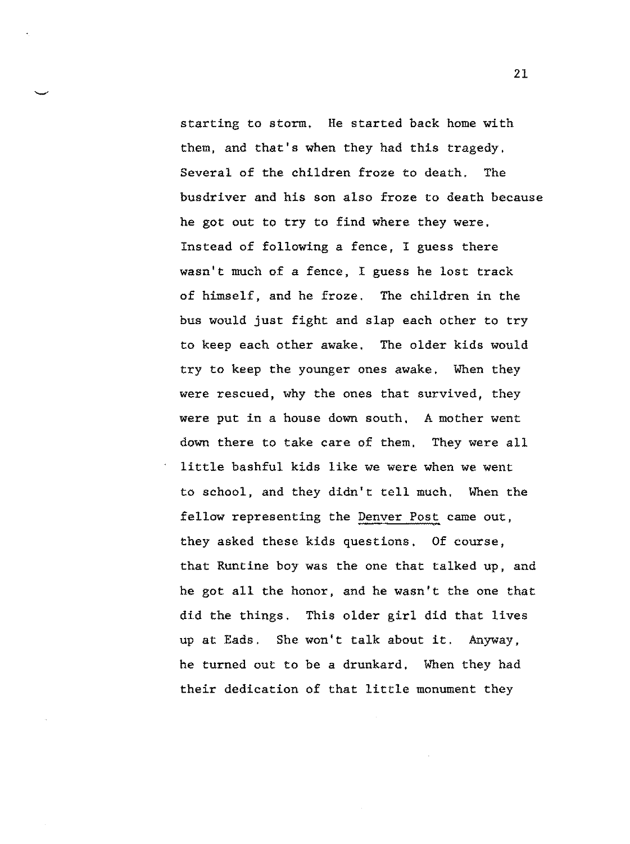starting to storm. He started back home with them, and that's when they had this tragedy, Several of the children froze to death. The busdriver and his son also froze to death because he got out to try to find where they were. Instead of following a fence, I guess there wasn't much of a fence, I guess he lost track of himself, and he froze. The children in the bus would just fight and slap each other to try to keep each other awake. The older kids would try to keep the younger ones awake, When they were rescued, why the ones that survived, they were put in a house down south, A mother went down there to take care of them, They were all little bashful kids like we were when we went to school, and they didn't tell much, When the fellow representing the Denver Post came out, they asked these kids questions. Of course, that Runtine boy was the one that talked up, and he got all the honor, and he wasn't the one that did the things. This older girl did that lives up at Eads. She won't talk about it. Anyway, he turned out to be a drunkard, When they had their dedication of that little monument they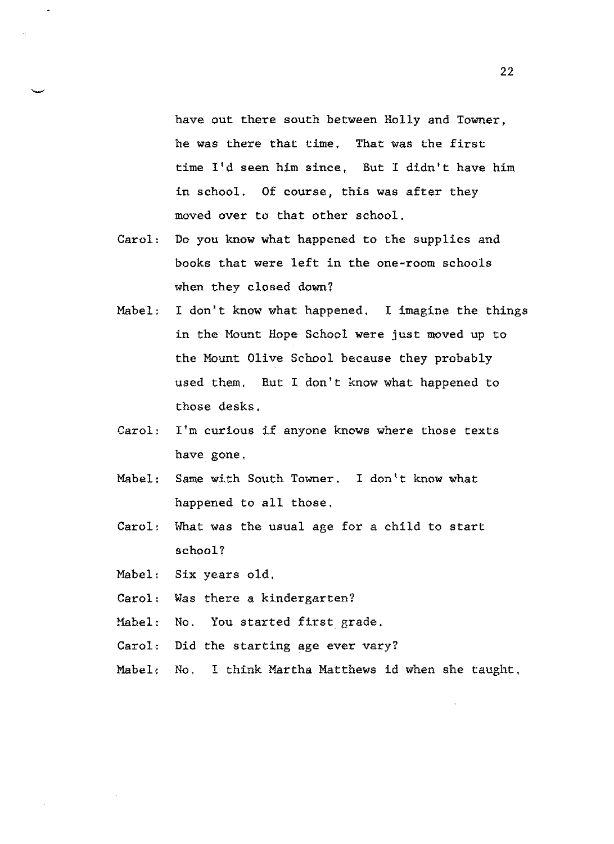have out there south between Holly and Towner, he was there that time, That was the first time I'd seen him since, But I didn't have him in school. Of course, this was after they moved over to that other school.

- Carol: Do you know what happened to the supplies and books that were left in the one-room schools when they closed down?
- Mabel: I don't know what happened, I imagine the things in the Mount Hope School were just moved up to the Mount Olive School because they probably used them, But I don't know what happened to those desks.
- Carol: I'm curious if anyone knows where those texts have gone,
- Mabel: Same with South Towner. I don't know what happened to all those.
- Carol: What was the usual age for a child to start school?

Mabel: Six years old,

- Carol: Was there a kindergarten?
- Mabel: No. You started first grade,
- Carol: Did the starting age ever vary?
- Mabel, No. I think Martha Matthews id when she taught,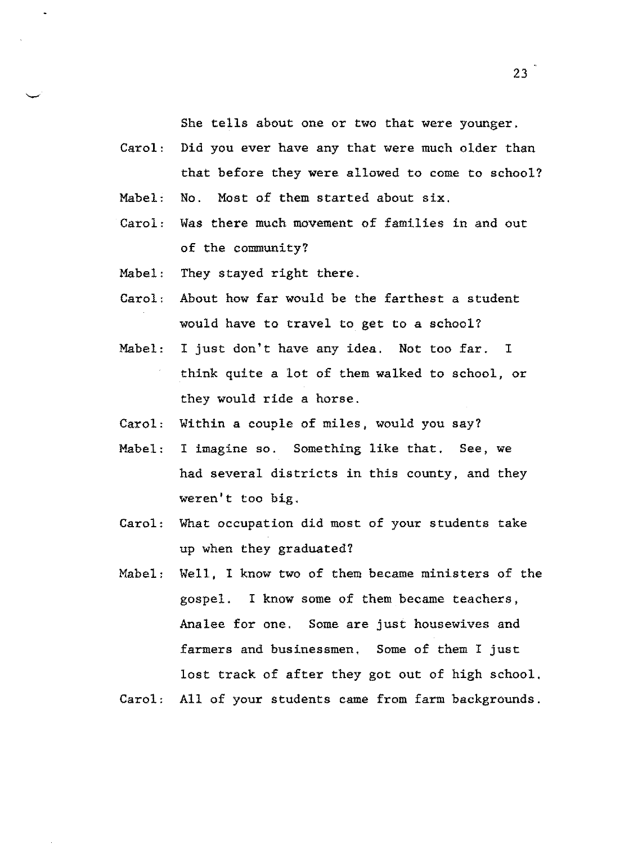She tells about one or two that were younger.

- Carol: Did you ever have any that were much older than that before they were allowed to come to school?
- Mabel: No. Most of them started about six.
- Carol: Was there much movement of families in and out of the community?
- Mabel: They stayed right there.
- Carol: About how far would be the farthest a student would have to travel *to* get to a school?
- Mabel: I just don't have any idea. Not too far. I think quite a lot of them walked to school, or they would ride a horse.
- Carol: Within a couple of miles, would you say?
- Mabel: I imagine so. Something like that, See, we had several districts in this county, and they weren't too big.
- Carol: What occupation did most of your students take up when they graduated?
- Mabel: Well, I know two of them became ministers of the gospel. I know some of them became teachers, Analee for one. Some are just housewives and farmers and businessmen. Some of them I just lost track of after they got out of high school.
- Carol: All of your students came from farm backgrounds.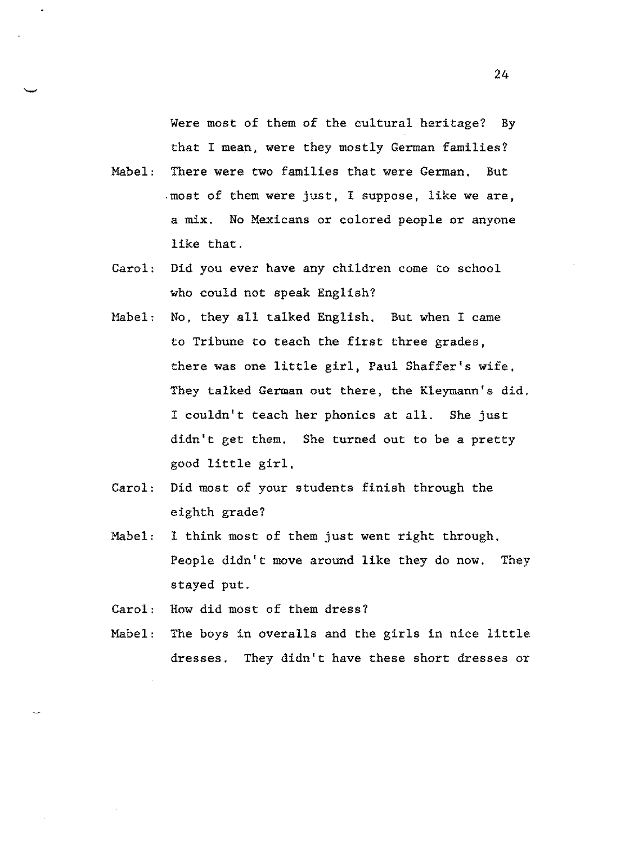Were most of them of the cultural heritage? By that I mean, were they mostly German families?

- Mabel: There were two families that were German, But .most of them were just, I suppose, like we are, a mix. No Mexicans or colored people or anyone like that.
- Carol: Did you ever have any children come to school who could not speak English?
- Mabel, No, they all talked English, But when I came to Tribune to teach the first three grades, there was one little girl, Paul Shaffer's wife, They talked German out there, the Kleymann's did. I couldn't teach her phonics at all. She just didn't get them. She turned out to be a pretty good little girl,
- Carol: Did most of your students finish through the eighth grade?
- Mabel: I think most of them just went right through. People didn't move around like they do now, They stayed put.
- Carol: How did most of them dress?
- Mabel: The boys in overalls and the girls in nice little dresses. They didn't have these short dresses or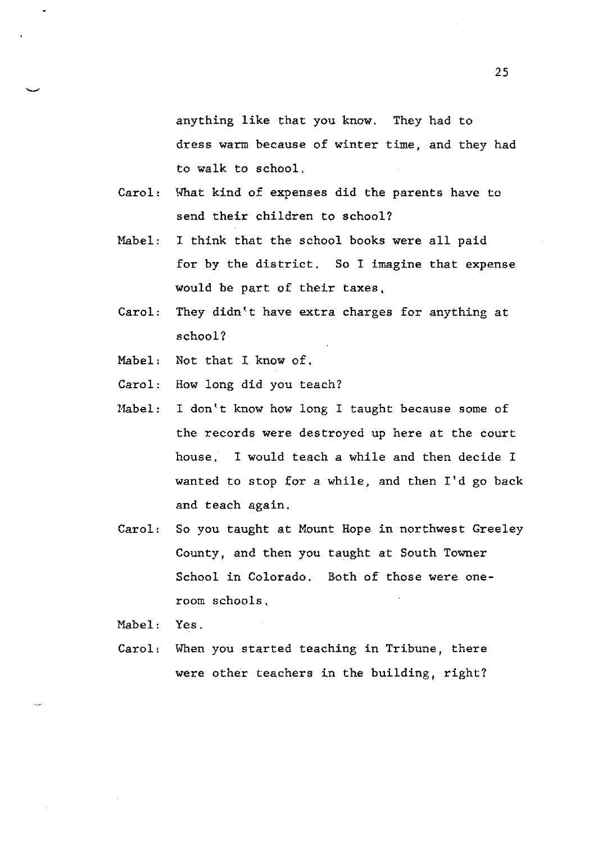anything like that you know. They had to dress warm because of winter time, and they had to walk to school.

- Carol: What kind of expenses did the parents have to send their children to school?
- Mabel: I think that the school books were all paid for by the district, So I imagine that expense would be part of their taxes,
- Carol: They didn't have extra charges for anything at school?
- Mabel: Not that I know of.
- Carol: How long did you teach?
- Mabel: I don't know how long I taught because some of the records were destroyed up here at the court house. I would teach a while and then decide I wanted to stop for a while, and then I'd go back and teach again.
- Carol, So you taught at Mount Hope in northwest Greeley County, and then you taught at South Towner School in Colorado. Both of those were oneroom schools.

Mabel: Yes.

Carol: When you started teaching in Tribune, there were other teachers in the building, right?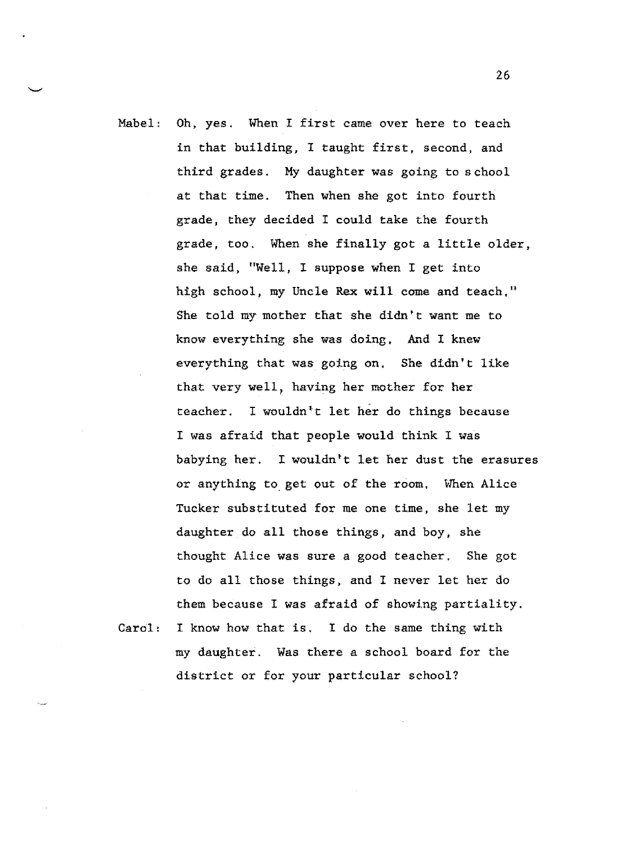Mabel: Oh, yes. When I first came over here to teach in that building, I taught first, second, and third grades. My daughter was going to school at that time. Then when she got into fourth grade, they decided I could take the fourth grade, too, When she finally got a little older, she said, "Well, I suppose when I get into high school, my Uncle Rex will come and teach," She told my mother that she didn't want me to know everything she was doing, And I knew everything that was going on, She didn't like that very well, having her mother for her teacher. I wouldn•t let her do things because I was afraid that people would think I was babying her. I wouldn't let her dust the erasures or anything to. get out of the room, When Alice Tucker substituted for me one time, she let my daughter do all those things, and boy, she thought Alice was sure a good teacher. She got to do all those things, and I never let her do them because I was afraid of showing partiality.

Carol: I know how that is. I do the same thing with my daughter. Was there a school board for the district or for your particular school?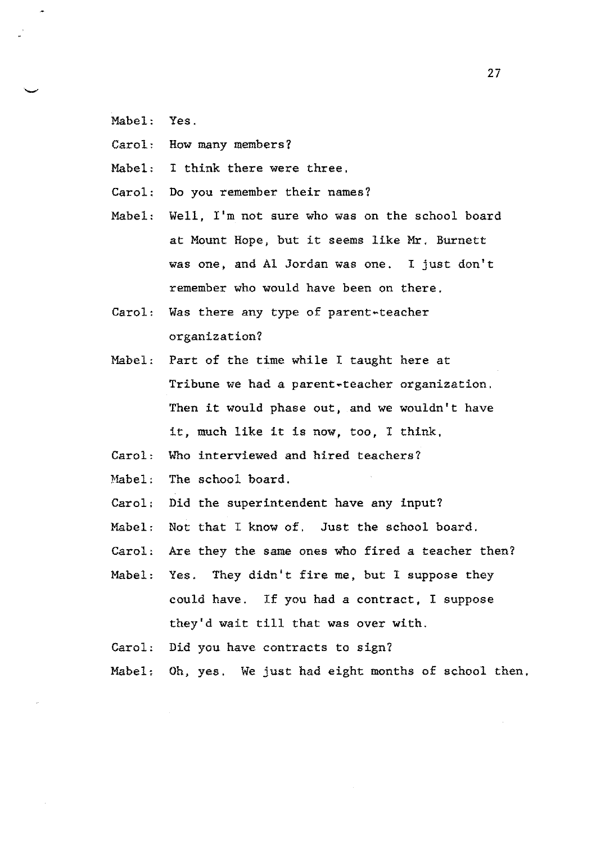- Mabel: Yes.
- Carol: How many members?
- Mabel: I think there were three,
- Carol: Do you remember their names?
- Mabel: Well, I'm not sure who was on the school board at Mount Hope, but it seems like Mr. Burnett was one, and Al Jordan was one. I just don't remember who would have been on there.
- Carol: Was there any type of parent~teacher organization?
- Mabel: Part of the time while I taught here at Tribune we had a parent~teacher organization. Then it would phase out, and we wouldn't have it, much like it is now, too, I think,
- Carol: Who interviewed and hired teachers?
- Mabel: The school board.
- Carol: Did the superintendent have any input?
- Mabel: Not that I know of, Just the school board.
- Carol: Are they the same ones who fired a teacher then?
- Mabel: Yes. They didn't fire me, but I suppose they could have. If you had a contract, I suppose they'd wait till that was over with.
- Carol: Did you have contracts to sign?
- Mabel; Oh, yes. We just had eight months of school then,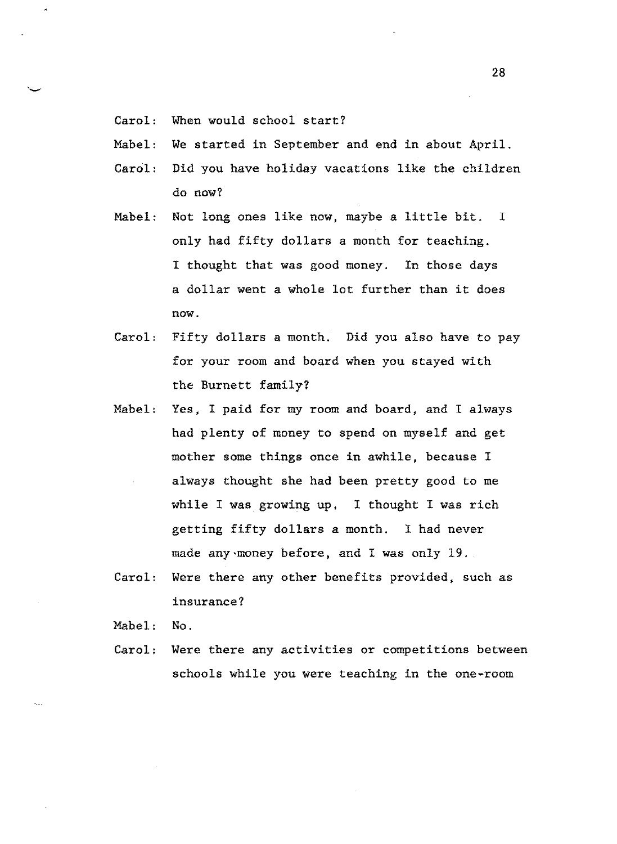- Carol: When would school start?
- Mabel: We started in September and end in about April.
- Carol: Did you have holiday vacations like the children do now?
- Mabel: Not long ones like now, maybe a little bit. I only had fifty dollars a month for teaching. I thought that was good money. In those days a dollar went a whole lot further than it does now.
- Carol: Fifty dollars a month, Did you also have to pay for your room and board when you stayed with the Burnett family?
- Mabel: Yes, I paid for my room and board, and I always had plenty of money to spend on myself and get mother some things once in awhile, because I always thought she had been pretty good to me while I was growing up, I thought I was rich getting fifty dollars a month. I had never made any money before, and I was only 19.
- Carol: Were there any other benefits provided, such as insurance?

Mabel: No.

Carol; Were there any activities or competitions between schools while you were teaching in the one-room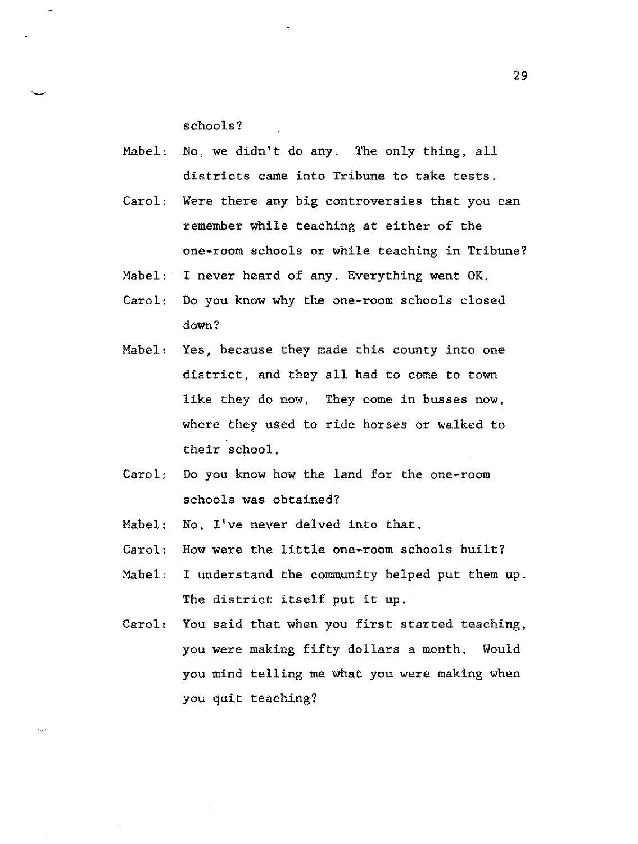schools?

- Mabel: No, we didn't do any. The only thing, all districts came into Tribune to take tests.
- Carol: Were there any big controversies that you can remember while teaching at either of the one-room schools or while teaching in Tribune?
- Mabel: I never heard of any. Everything went OK,
- Carol: Do you know why the one-room schools closed down?
- Mabel: Yes, because they made this county into one district, and they all had to come to town like they do now, They come in busses now, where they used to ride horses or walked to their school,
- Carol: Do you know how the land for the one-room schools was obtained?
- Mabel; No, I've never delved into that,
- Carol: How were the little one-room schools built?
- Mabel: I understand the community helped put them up. The district itself put it up.
- Carol: You said that when you first started teaching, you were making fifty dollars a month, Would you mind telling me what you were making when you quit teaching?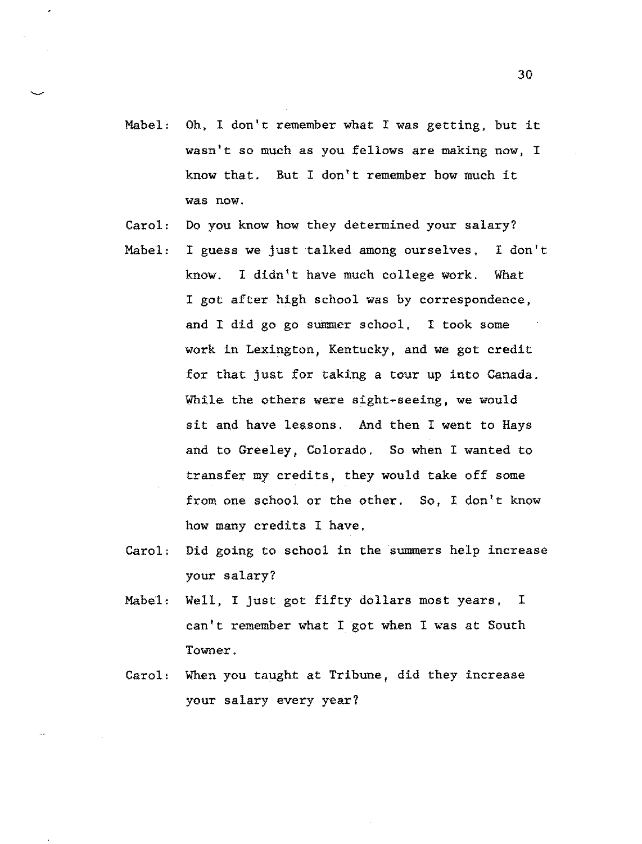- Mabel: Oh, I don't remember what I was getting, but it wasn't so much as you fellows are making now, I know that. But I don't remember how much it was now.
- Carol: Do you know how they determined your salary?
- Mabel: <sup>I</sup>guess we just talked among ourselves, I don't know. I didn't have much college work. What I got after high school was by correspondence, and I did go go summer school, I took some work in Lexington, Kentucky, and we got credit for that just for taking a tour up into Canada. While the others were sight-seeing, we would sit and have lessons. And then I went to Hays and to Greeley, Colorado. So when I wanted to transfer my credits, they would take off some from one school or the other. So, I don't know how many credits I have,
- Carol: Did going to school in the summers help increase your salary?
- Mabel, Well, I just got fifty dollars most years, I can't remember what I got when I was at South Towner.
- Carol: When you taught at Tribune, did they increase your salary every year?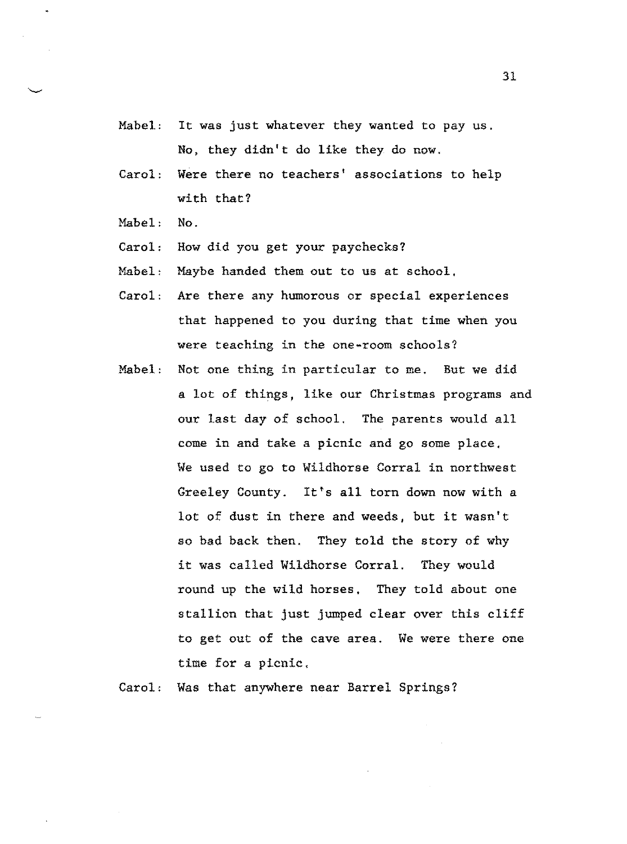- Mabel: It was just whatever they wanted to pay us. No, they didn't do like they do now.
- Carol: Were there no teachers' associations to help with that?
- Mabel: No.
- Carol: How did you get your paychecks?
- Mabel: Maybe handed them out to us at school.
- Carol: Are there any humorous or special experiences that happened to you during that time when you were teaching in the one-room schools?
- Mabel: Not one thing in particular to me. But we did a lot of things, like our Christmas programs and our last day of school. The parents would all come in and take a picnic and go some place. We used to go to Wildhorse Corral in northwest Greeley County. It's all torn down now with a lot of dust in there and weeds, but it wasn't so bad back then. They told the story of why it was called Wildhorse Corral. They would round up the wild horses, They told about one stallion that just jumped clear over this cliff to get out of the cave area. We were there one time for a picnic,

Carol, Was that anywhere near Barrel Springs?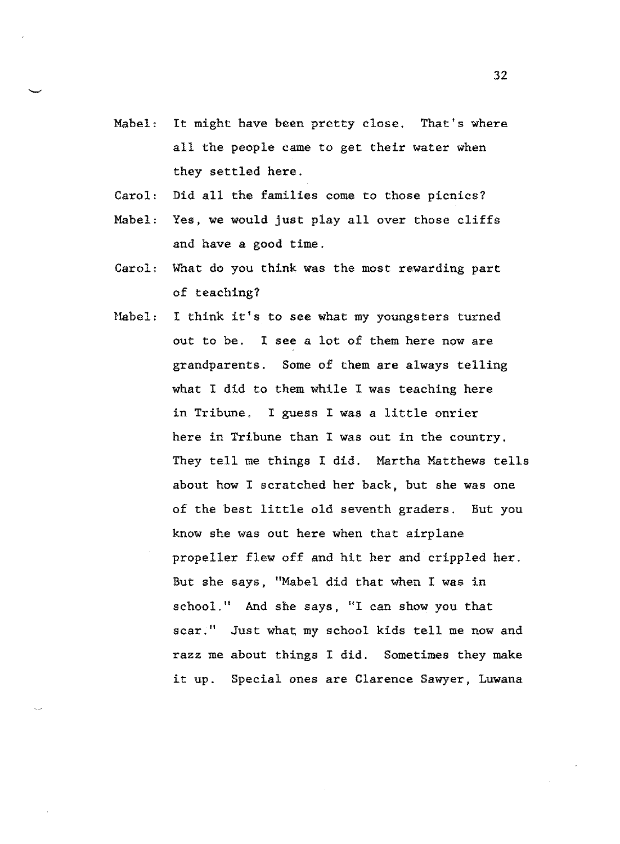- Mabel: It might have been pretty close. That's where all the people came to get their water when they settled here.
- Carol: Did all the families come to those picnics?
- Mabel: Yes, we would just play all over those cliffs and have a good time.
- Carol: What do you think was the most rewarding part of teaching?
- Habel: I think it's to see what my youngsters turned out to be. I see a lot of them here now are grandparents. Some of them are always telling what I did to them while I was teaching here in Tribune. I guess I was a little onrier here in Tribune than I was out in the country. They tell me things I did. Martha Matthews tells about how I scratched her back, but she was one of the best little old seventh graders. But you know she was out here when that airplane propeller flew off and hit her and crippled her. But she says, "Mabel did that when I was in school." And she says, "I can show you that scar;" Just what my school kids tell me now and razz me about things I did. Sometimes they make it up. Special ones are Clarence Sawyer, Luwana